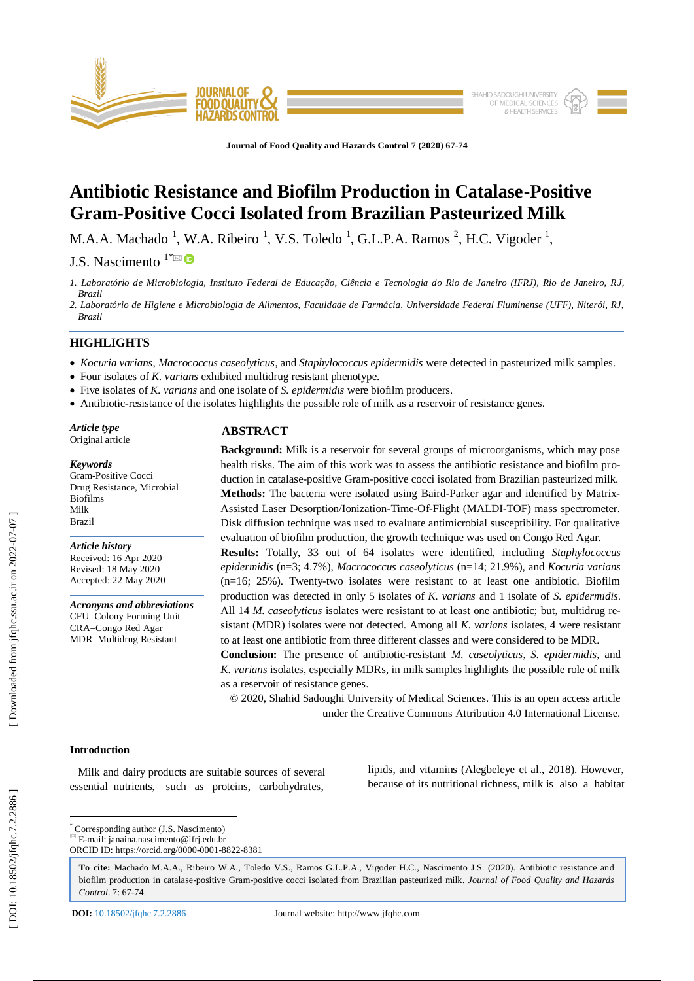

**Journal of Food Quality and Hazards Control 7 (2020) 67 -74**

# **Antibiotic Resistance and Biofilm Production in Catalase -Positive Gram -Positive Cocci Isolated from Brazilian Pasteurized Milk**

M.A.A. Machado <sup>1</sup>, W.A. Ribeiro <sup>1</sup>, V.S. Toledo <sup>1</sup>, G.L.P.A. Ramos <sup>2</sup>, H.C. Vigoder <sup>1</sup>,

J.S. Nascimento  $1^* \boxtimes \bullet$ 

- *1. Laboratório de Microbiologia, Instituto Federal de Educação, Ciência e Tecnologia do Rio de Janeiro (IFRJ), Rio de Janeiro, RJ, Brazil*
- *2. Laboratório de Higiene e Microbiologia de Alimentos, Faculdade de Farmácia, Universidade Federal Fluminense (UFF), Niterói, RJ, Brazil*

# **HIGHLIGHTS**

- *Kocuria varians*, *Macrococcus caseolyticus*, and *Staphylococcus epidermidis* were detected in pasteurized milk samples.
- Four isolates of *K. varians* exhibited multidrug resistant phenotype.
- Five isolates of *K. varians* and one isolate of *S. epidermidis* were biofilm producers.
- Antibiotic-resistance of the isolates highlights the possible role of milk as a reservoir of resistance genes.

*Article type* Original article

#### *Keywords*

Gram -Positive Cocci Drug Resistance, Microbial Biofilms Milk Brazil

*Article history* Received: 16 Apr 2020 Revised: 18 May 2020 Accepted: 22 May 2020

*Acronyms and abbreviations* CFU=Colony Forming Unit CRA=Congo Red Agar MDR=Multidrug Resistant

# **ABSTRACT**

**Background:** Milk is a reservoir for several groups of microorganisms, which may pose health risks. The aim of this work was to assess the antibiotic resistance and biofilm production in catalase-positive Gram-positive cocci isolated from Brazilian pasteurized milk. Methods: The bacteria were isolated using Baird-Parker agar and identified by Matrix-Assisted Laser Desorption/Ionization -Time -Of-Flight (MALDI -TOF) mass spectrometer. Disk diffusion technique was used to evaluate antimicrobial susceptibility. For qualitative evaluation of biofilm production, the growth technique was used on Congo Red Agar. **Results:** Totally, 33 out of 64 isolates were identified, including *Staphylococcus epidermidis* (n=3; 4.7%), *Macrococcus caseolyticus* (n=14; 21.9%), and *Kocuria varians* (n=16; 25%). Twenty -two isolates were resistant to at least one antibiotic. Biofilm production was detected in only 5 isolates of *K. varians* and 1 isolate of *S. epidermidis*. All 14 *M. caseolyticus* isolates were resistant to at least one antibiotic; but, multidrug resistant (MDR) isolates were not detected. Among all *K. varians* isolates, 4 were resistant to at least one antibiotic from three different classes and were considered to be MDR.

**Conclusion:** The presence of antibiotic-resistant *M. caseolyticus*, *S. epidermidis*, and *K. varians* isolates, especially MDRs, in milk samples highlights the possible role of milk as a reservoir of resistance genes.

© 2020, Shahid Sadoughi University of Medical Sciences. This is an open access article under the Creative Commons Attribution 4.0 International License.

# **Introduction**

 Milk and dairy products are suitable sources of several essential nutrients, such as proteins, carbohydrates,

lipids, and vitamins (Alegbeleye et al., 2018). However, because of its nutritional richness, milk is also a habitat

[Downloaded from jfqhc.ssu.ac.ir on 2022-07-07]

\* Corresponding author (J.S. Nascimento)  $E = \text{mail: }$  janaina.nascimento@ifrj.edu.br

ORCID ID: https://orcid.org/0000 -0001 -8822 -8381

**To cite:** Machado M.A.A., Ribeiro W.A., Toledo V.S., Ramos G.L.P.A., Vigoder H.C., Nascimento J.S. (2020). Antibiotic resistance and biofilm production in catalase-positive Gram-positive cocci isolated from Brazilian pasteurized milk. *Journal of Food Quality and Hazards* Control. 7: 67-74.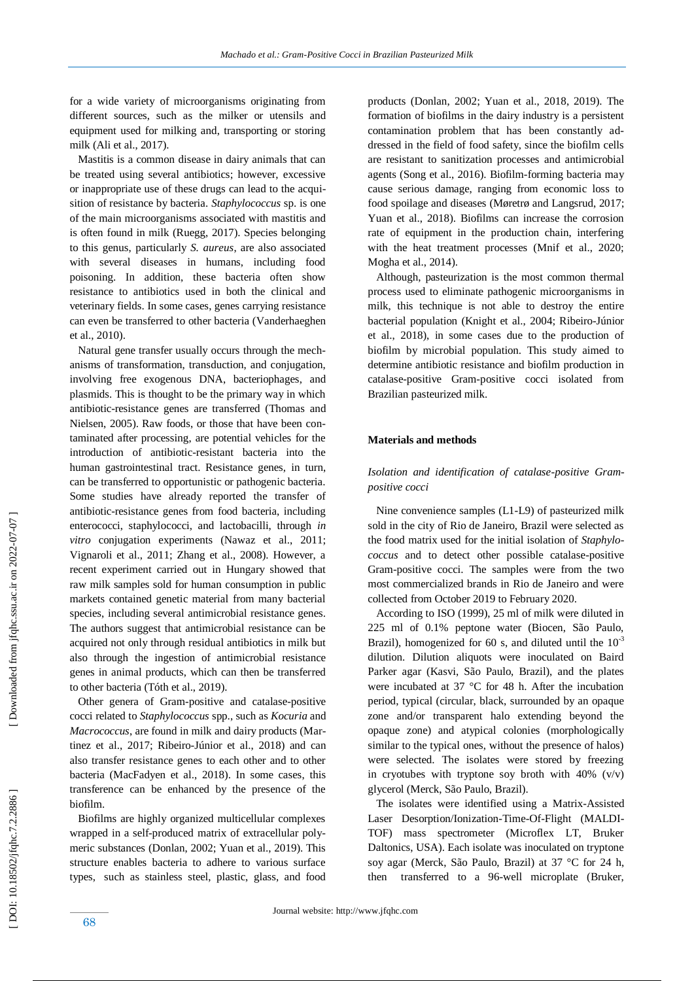Mastitis is a common disease in dairy animals that can be treated using several antibiotics; however, excessive or inappropriate use of these drugs can lead to the acquisition of resistance by bacteria. *Staphylococcus* sp. is one of the main microorganisms associated with mastitis and is often found in milk (Ruegg, 2017). Species belonging to this genus, particularly *S. aureus*, are also associated with several diseases in humans, including food poisoning. In addition, these bacteria often show resistance to antibiotics used in both the clinical and veterinary fields. In some cases, genes carrying resistance can even be transferred to other bacteria (Vanderhaeghen et al., 2010).

for a wide variety of microorganisms originating from different sources, such as the milker or utensils and equipment used for milking and, transporting or storing

milk (Ali et al., 2017).

 Natural gene transfer usually occurs through the mechanisms of transformation, transduction, and conjugation, involving free exogenous DNA, bacteriophages, and plasmids. This is thought to be the primary way in which antibiotic -resistance genes are transferred (Thomas and Nielsen, 2005). Raw foods, or those that have been contaminated after processing, are potential vehicles for the introduction of antibiotic -resistant bacteria into the human gastrointestinal tract. Resistance genes, in turn, can be transferred to opportunistic or pathogenic bacteria. Some studies have already reported the transfer of antibiotic -resistance genes from food bacteria, including enterococci, staphylococci, and lactobacilli, through *in vitro* conjugation experiments (Nawaz et al., 2011; Vignaroli et al., 2011; Zhang et al., 2008). However, a recent experiment carried out in Hungary showed that raw milk samples sold for human consumption in public markets contained genetic material from many bacterial species, including several antimicrobial resistance genes. The authors suggest that antimicrobial resistance can be acquired not only through residual antibiotics in milk but also through the ingestion of antimicrobial resistance genes in animal products, which can then be transferred to other bacteria (Tóth et al., 2019) .

 Other genera of Gram -positive and catalase -positive cocci related to *Staphylococcus* spp., such as *Kocuria* and *Macrococcus*, are found in milk and dairy products (Martinez et al., 2017; Ribeiro-Júnior et al., 2018) and can also transfer resistance genes to each other and to other bacteria (MacFadyen et al., 2018). In some cases, this transference can be enhanced by the presence of the biofilm.

 Biofilms are highly organized multicellular complexes wrapped in a self-produced matrix of extracellular polymeric substances (Donlan, 2002; Yuan et al., 2019). This structure enables bacteria to adhere to various surface types, such as stainless steel, plastic, glass, and food products (Donlan, 2002; Yuan et al., 2018, 2019). The formation of biofilms in the dairy industry is a persistent contamination problem that has been constantly addressed in the field of food safety, since the biofilm cells are resistant to sanitization processes and antimicrobial agents (Song et al., 2016). Biofilm -forming bacteria may cause serious damage, ranging from economic loss to food spoilage and diseases (Møretrø and Langsrud, 2017; Yuan et al., 2018). Biofilms can increase the corrosion rate of equipment in the production chain, interfering with the heat treatment processes (Mnif et al., 2020; Mogha et al., 2014).

 Although, pasteurization is the most common thermal process used to eliminate pathogenic microorganisms in milk, this technique is not able to destroy the entire bacterial population (Knight et al., 2004; Ribeiro -Júnior et al., 2018), in some cases due to the production of biofilm by microbial population. This study aimed to determine antibiotic resistance and biofilm production in catalase -positive Gram -positive cocci isolated from Brazilian pasteurized milk.

#### **Materials and methods**

# *Isolation and identification of catalase -positive Gram positive cocci*

 Nine convenience samples (L1 -L9) of pasteurized milk sold in the city of Rio de Janeiro, Brazil were selected as the food matrix used for the initial isolation of *Staphylococcus* and to detect other possible catalase-positive Gram -positive cocci. The samples were from the two most commercialized brands in Rio de Janeiro and were collected from October 2019 to February 2020.

 According to ISO (1999), 25 ml of milk were diluted in 225 ml of 0.1% peptone water (Biocen, São Paulo, Brazil), homogenized for 60 s, and diluted until the  $10^{-3}$ dilution. Dilution aliquots were inoculated on Baird Parker agar (Kasvi, São Paulo, Brazil), and the plates were incubated at 37 °C for 48 h. After the incubation period, typical (circular, black, surrounded by an opaque zone and/or transparent halo extending beyond the opaque zone) and atypical colonies (morphologically similar to the typical ones, without the presence of halos) were selected. The isolates were stored by freezing in cryotubes with tryptone soy broth with  $40\%$  (v/v) glycerol (Merck, São Paulo, Brazil).

 The isolates were identified using a Matrix -Assisted Laser Desorption/Ionization-Time-Of-Flight (MALDI-TOF) mass spectrometer (Microflex LT, Bruker Daltonics, USA). Each isolate was inoculated on tryptone soy agar (Merck, São Paulo, Brazil) at 37 °C for 24 h, then transferred to a 96 -well microplate (Bruker,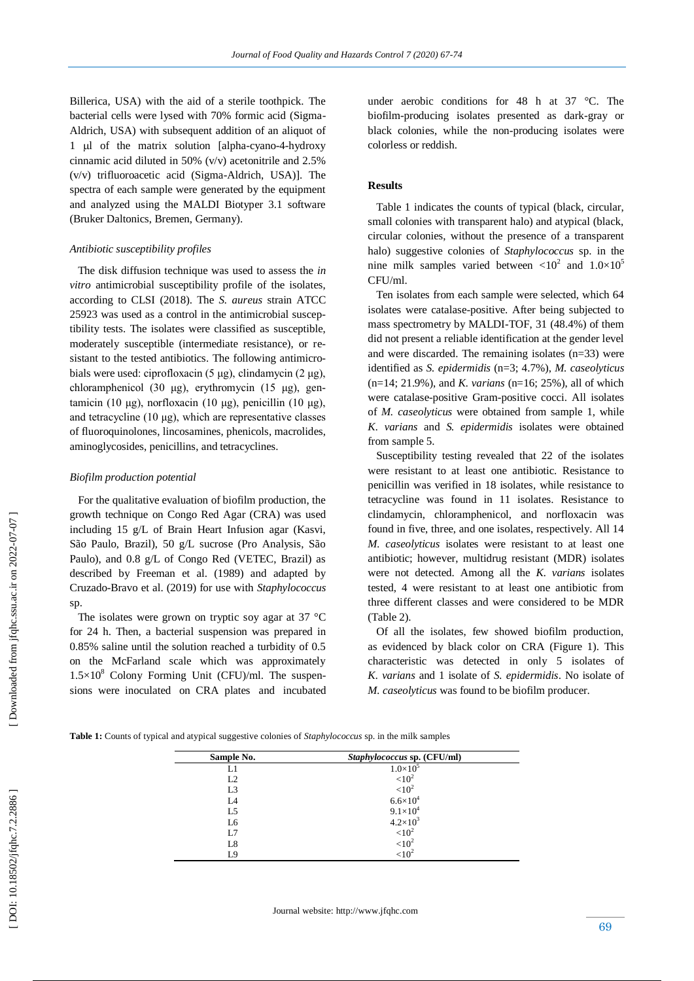Billerica, USA) with the aid of a sterile toothpick. The bacterial cells were lysed with 70% formic acid (Sigma - Aldrich, USA) with subsequent addition of an aliquot of 1 µl of the matrix solution [alpha-cyano-4-hydroxy cinnamic acid diluted in 50% (v/v) acetonitrile and 2.5% (v/v) trifluoroacetic acid (Sigma -Aldrich, USA)]. The spectra of each sample were generated by the equipment and analyzed using the MALDI Biotyper 3.1 software (Bruker Daltonics, Bremen, Germany).

#### *Antibiotic susceptibility profiles*

 The disk diffusion technique was used to assess the *in vitro* antimicrobial susceptibility profile of the isolates, according to CLSI (2018). The *S. aureus* strain ATCC 25923 was used as a control in the antimicrobial susceptibility tests. The isolates were classified as susceptible, moderately susceptible (intermediate resistance), or resistant to the tested antibiotics. The following antimicrobials were used: ciprofloxacin (5 μg), clindamycin (2 μg), chloramphenicol (30 μg), erythromycin (15 μg), gentamicin (10 μg), norfloxacin (10 μg), penicillin (10 μg), and tetracycline (10 μg), which are representative classes of fluoroquinolones, lincosamines, phenicols, macrolides, aminoglycosides, penicillins, and tetracyclines.

#### *Biofilm production potential*

 For the qualitative evaluation of biofilm production, the growth technique on Congo Red Agar (CRA) was used including 15 g/L of Brain Heart Infusion agar (Kasvi, São Paulo, Brazil), 50 g/L sucrose (Pro Analysis, São Paulo), and 0.8 g/L of Congo Red (VETEC, Brazil) as described by Freeman et al. (1989) and adapted by Cruzado -Bravo et al. (2019) for use with *Staphylococcus* sp.

The isolates were grown on tryptic soy agar at 37 °C for 24 h. Then, a bacterial suspension was prepared in 0.85% saline until the solution reached a turbidity of 0.5 on the McFarland scale which was approximately  $1.5 \times 10^8$  Colony Forming Unit (CFU)/ml. The suspensions were inoculated on CRA plates and incubated under aerobic conditions for 48 h at 37 °C. The biofilm -producing isolates presented as dark -gray or black colonies, while the non -producing isolates were colorless or reddish.

#### **Results**

Table 1 indicates the counts of typical (black, circular, small colonies with transparent halo) and atypical (black, circular colonies, without the presence of a transparent halo) suggestive colonies of *Staphylococcus* sp. in the nine milk samples varied between  $\langle 10^2 \text{ and } 1.0 \times 10^5 \rangle$ CFU/ml.

 Ten isolates from each sample were selected, which 64 isolates were catalase -positive. After being subjected to mass spectrometry by MALDI -TOF, 31 (48.4%) of them did not present a reliable identification at the gender level and were discarded. The remaining isolates (n=33) were identified as *S. epidermidis* (n=3; 4.7%), *M. caseolyticus* (n=14; 21.9%), and *K. varians* (n=16; 25%), all of which were catalase -positive Gram -positive cocci. All isolates of *M. caseolyticus* were obtained from sample 1, while *K. varians* and *S. epidermidis* isolates were obtained from sample 5.

 Susceptibility testing revealed that 22 of the isolates were resistant to at least one antibiotic. Resistance to penicillin was verified in 18 isolates, while resistance to tetracycline was found in 11 isolates. Resistance to clindamycin, chloramphenicol, and norfloxacin was found in five, three, and one isolates, respectively. All 14 *M. caseolyticus* isolates were resistant to at least one antibiotic; however, multidrug resistant (MDR) isolates were not detected. Among all the *K. varians* isolates tested, 4 were resistant to at least one antibiotic from three different classes and were considered to be MDR (Table 2).

 Of all the isolates, few showed biofilm production, as evidenced by black color on CRA (Figure 1). This characteristic was detected in only 5 isolates of *K. varians* and 1 isolate of *S. epidermidis*. No isolate of *M. caseolyticus* was found to be biofilm producer.

**Table 1:** Counts of typical and atypical suggestive colonies of *Staphylococcus* sp. in the milk samples

| Sample No.     | Staphylococcus sp. (CFU/ml) |  |
|----------------|-----------------------------|--|
| L1             | $1.0\times10^{5}$           |  |
| L2             | ${<}10^2$                   |  |
| L <sub>3</sub> | ${<}10^2$                   |  |
| L <sub>4</sub> | $6.6 \times 10^{4}$         |  |
| L5             | $9.1 \times 10^{4}$         |  |
| L6             | $4.2 \times 10^{3}$         |  |
| L7             | $< 10^2$                    |  |
| L8             | $\frac{1}{2}$               |  |
| L9             | ${<}10^2$                   |  |

[Downloaded from jfqhc.ssu.ac.ir on 2022-07-07]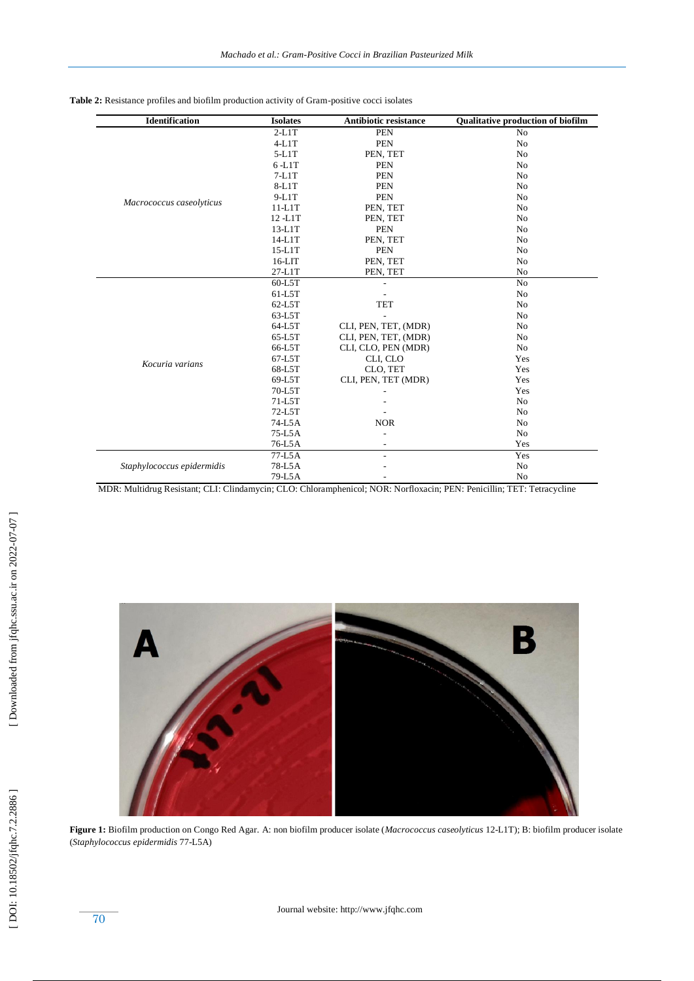Table 2: Resistance profiles and biofilm production activity of Gram-positive cocci isolates

| <b>Identification</b>      | <b>Isolates</b> | <b>Antibiotic resistance</b> | <b>Qualitative production of biofilm</b> |
|----------------------------|-----------------|------------------------------|------------------------------------------|
| Macrococcus caseolyticus   | $2-L1T$         | <b>PEN</b>                   | N <sub>0</sub>                           |
|                            | $4-L1T$         | <b>PEN</b>                   | No                                       |
|                            | $5-L1T$         | PEN, TET                     | No                                       |
|                            | $6 - L1T$       | <b>PEN</b>                   | No                                       |
|                            | $7-L1T$         | <b>PEN</b>                   | No                                       |
|                            | $8-L1T$         | <b>PEN</b>                   | N <sub>0</sub>                           |
|                            | $9-L1T$         | <b>PEN</b>                   | No                                       |
|                            | $11-L1T$        | PEN, TET                     | No                                       |
|                            | 12-L1T          | PEN, TET                     | No                                       |
|                            | 13-L1T          | <b>PEN</b>                   | No                                       |
|                            | 14-L1T          | PEN, TET                     | No                                       |
|                            | $15-L1T$        | <b>PEN</b>                   | No                                       |
|                            | $16-LIT$        | PEN, TET                     | No                                       |
|                            | 27-L1T          | PEN, TET                     | N <sub>o</sub>                           |
| Kocuria varians            | $60-L5T$        |                              | No                                       |
|                            | 61-L5T          |                              | No                                       |
|                            | 62-L5T          | <b>TET</b>                   | No                                       |
|                            | 63-L5T          |                              | No                                       |
|                            | 64-L5T          | CLI, PEN, TET, (MDR)         | No                                       |
|                            | 65-L5T          | CLI, PEN, TET, (MDR)         | No                                       |
|                            | 66-L5T          | CLI, CLO, PEN (MDR)          | No                                       |
|                            | 67-L5T          | CLI, CLO                     | Yes                                      |
|                            | 68-L5T          | CLO, TET                     | Yes                                      |
|                            | 69-L5T          | CLI, PEN, TET (MDR)          | Yes                                      |
|                            | 70-L5T          |                              | Yes                                      |
|                            | 71-L5T          |                              | No                                       |
|                            | 72-L5T          |                              | No                                       |
|                            | 74-L5A          | <b>NOR</b>                   | No                                       |
|                            | 75-L5A          |                              | No                                       |
|                            | 76-L5A          |                              | Yes                                      |
| Staphylococcus epidermidis | 77-L5A          | $\overline{\phantom{a}}$     | Yes                                      |
|                            | 78-L5A          |                              | No                                       |
|                            | 79-L5A          |                              | No                                       |

MDR: Multidrug Resistant; CLI: Clindamycin; CLO: Chloramphenicol; NOR: Norfloxacin; PEN: Penicillin; TET: Tetracycline



**Figure 1:** Biofilm production on Congo Red Agar. A: non biofilm producer isolate (*Macrococcus caseolyticus* 12 -L1T); B: biofilm producer isolate (*Staphylococcus epidermidis* 77 -L5A)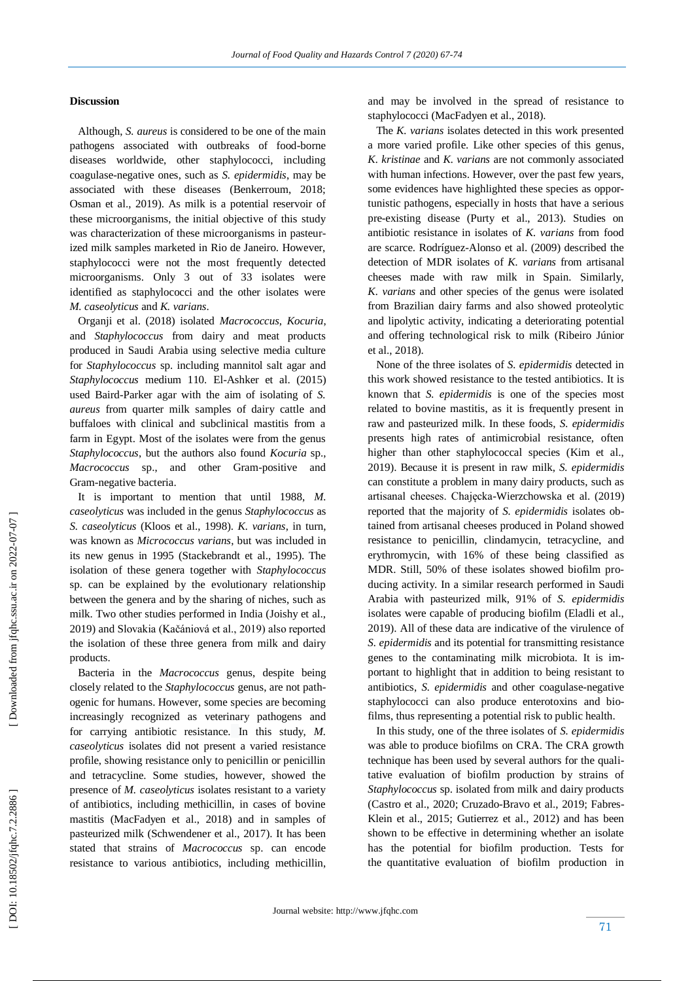#### **Discussion**

 Although, *S. aureus* is considered to be one of the main pathogens associated with outbreaks of food -borne diseases worldwide, other staphylococci, including coagulase -negative ones, such as *S. epidermidis*, may be associated with these diseases (Benkerroum, 2018; Osman et al., 2019). As milk is a potential reservoir of these microorganisms, the initial objective of this study was characterization of these microorganisms in pasteurized milk samples marketed in Rio de Janeiro. However, staphylococci were not the most frequently detected microorganisms. Only 3 out of 33 isolates were identified as staphylococci and the other isolates were *M. caseolyticus* and *K. varians* .

 Organji et al. (2018) isolated *Macrococcus*, *Kocuria*, and *Staphylococcus* from dairy and meat products produced in Saudi Arabia using selective media culture for *Staphylococcus* sp. including mannitol salt agar and *Staphylococcus* medium 110. El -Ashker et al. (2015) used Baird -Parker agar with the aim of isolating of *S. aureus* from quarter milk samples of dairy cattle and buffaloes with clinical and subclinical mastitis from a farm in Egypt. Most of the isolates were from the genus *Staphylococcus*, but the authors also found *Kocuria* sp., *Macrococcus* sp., and other Gram -positive and Gram -negative bacteria.

It is important to mention that until 1988, *M. caseolyticus* was included in the genus *Staphylococcus* as *S. caseolyticus* (Kloos et al., 19 98). *K. varians*, in turn, was known as *Micrococcus varians* , but was included in its new genus in 1995 (Stackebrandt et al., 1995). The isolation of these genera together with *Staphylococcus* sp. can be explained by the evolutionary relationship between the genera and by the sharing of niches, such as milk. Two other studies performed in India (Joishy et al., 2019) and Slovakia (Kačániová et al., 2019) also reported the isolation of these three genera from milk and dairy products.

 Bacteria in the *Macrococcus* genus, despite being closely related to the *Staphylococcus* genus, are not pathogenic for humans. However, some species are becoming increasingly recognized as veterinary pathogens and for carrying antibiotic resistance. In this study, *M. caseolyticus* isolates did not present a varied resistance profile, showing resistance only to penicillin or penicillin and tetracycline. Some studies, however, showed the presence of *M. caseolyticus* isolates resistant to a variety of antibiotics, including methicillin, in cases of bovine mastitis (MacFadyen et al., 2018) and in samples of pasteurized milk (Schwendener et al., 2017). It has been stated that strains of *Macrococcus* sp. can encode resistance to various antibiotics, including methicillin, and may be involved in the spread of resistance to staphylococci (MacFadyen et al., 2018).

 The *K. varians* isolates detected in this work presented a more varied profile. Like other species of this genus, *K. kristinae* and *K. varians* are not commonly associated with human infections. However, over the past few years, some evidences have highlighted these species as opportunistic pathogens, especially in hosts that have a serious pre -existing disease (Purty et al., 2013). Studies on antibiotic resistance in isolates of *K. varians* from food are scarce. Rodríguez -Alonso et al. (2009) described the detection of MDR isolates of *K. varians* from artisanal cheeses made with raw milk in Spain. Similarly, *K. varians* and other species of the genus were isolated from Brazilian dairy farms and also showed proteolytic and lipolytic activity, indicating a deteriorating potential and offering technological risk to milk (Ribeiro Júnior et al., 2018).

 None of the three isolates of *S. epidermidis* detected in this work showed resistance to the tested antibiotics. It is known that *S. epidermidis* is one of the species most related to bovine mastitis, as it is frequently present in raw and pasteurized milk. In these foods, *S. epidermidis* presents high rates of antimicrobial resistance, often higher than other staphylococcal species (Kim et al., 2019). Because it is present in raw milk, *S. epidermidis* can constitute a problem in many dairy products, such as artisanal cheeses. Chajęcka -Wierzchowska et al. (2019) reported that the majority of *S. epidermidis* isolates obtained from artisanal cheeses produced in Poland showed resistance to penicillin, clindamycin, tetracycline, and erythromycin, with 16% of these being classified as MDR. Still, 50% of these isolates showed biofilm producing activity. In a similar research performed in Saudi Arabia with pasteurized milk, 91% of *S. epidermidis* isolates were capable of producing biofilm (Eladli et al., 2019). All of these data are indicative of the virulence of *S. epidermidis* and its potential for transmitting resistance genes to the contaminating milk microbiota. It is important to highlight that in addition to being resistant to antibiotics, *S. epidermidis* and other coagulase-negative staphylococci can also produce enterotoxins and biofilms, thus representing a potential risk to public health.

 In this study, one of the three isolates of *S. epidermidis* was able to produce biofilms on CRA. The CRA growth technique has been used by several authors for the qualitative evaluation of biofilm production by strains of *Staphylococcus* sp. isolated from milk and dairy products (Castro et al., 2020; Cruzado -Bravo et al., 2019; Fabres - Klein et al., 2015; Gutierrez et al., 2012) and has been shown to be effective in determining whether an isolate has the potential for biofilm production. Tests for the quantitative evaluation of biofilm production in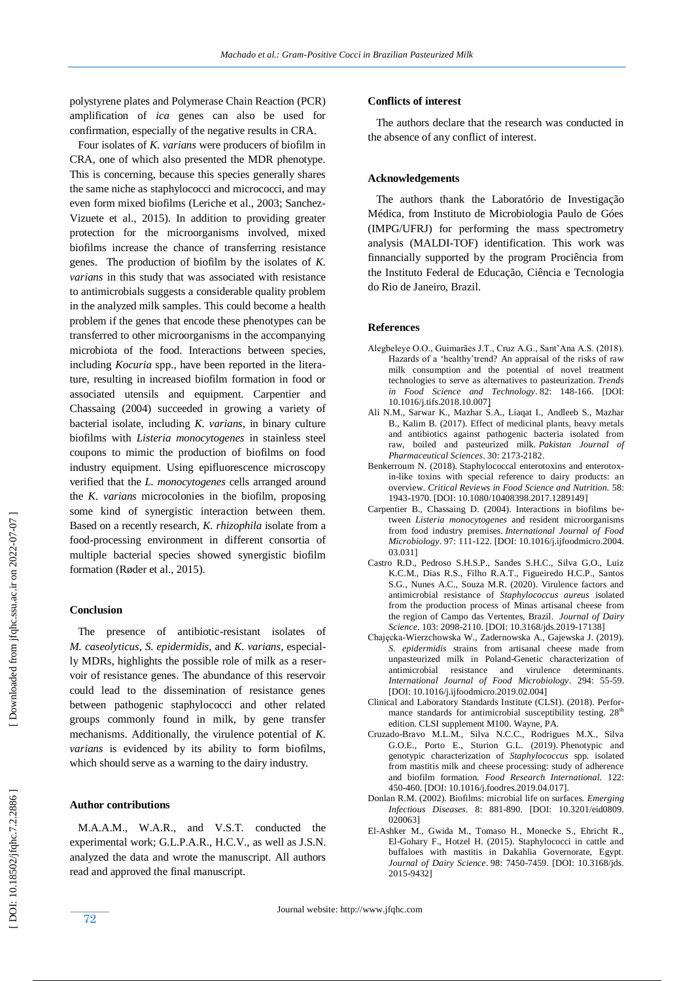polystyrene plates and Polymerase Chain Reaction (PCR) amplification of *ica* genes can also be used for confirmation, especially of the negative results in CRA.

 Four isolates of *K. varians* were producers of biofilm in CRA, one of which also presented the MDR phenotype. This is concerning, because this species generally shares the same niche as staphylococci and micrococci, and may even form mixed biofilms (Leriche et al., 2003; Sanchez - Vizue te et al., 2015). In addition to providing greater protection for the microorganisms involved, mixed biofilms increase the chance of transferring resistance genes. The production of biofilm by the isolates of *K. varians* in this study that was associated with resistance to antimicrobials suggest s a considerable quality problem in the analyzed milk samples. This could become a health problem if the genes that encode these phenotypes can be transferred to other microorganisms in the accompanying microbiota of the food. Interactions between species, including *Kocuria* spp., have been reported in the literature, resulting in increased biofilm formation in food or associated utensils and equipment. Carpentier and Chassaing (2004) succeeded in growing a variety of bacterial isolate, including *K. varians*, in binary culture biofilms with *Listeria monocytogenes* in stainless steel coupons to mimic the production of biofilms on food industry equipment. Using epifluorescence microscopy verified that the *L. monocytogenes* cells arranged around the *K. varians* microcolonies in the biofilm, proposing some kind of synergistic interaction between them. Based on a recently research, *K. rhizophila* isolate from a food -processing environment in different consortia of multiple bacterial species showed synergistic biofilm formation (Røder et al., 2015).

#### **Conclusion**

 The presence of antibiotic -resistant isolates of *M. caseolyticus*, *S. epidermidis,* and *K. varians*, especially MDRs, highlights the possible role of milk as a reservoir of resistance genes. The abundance of this reservoir could lead to the dissemination of resistance genes between pathogenic staphylococci and other related groups commonly found in milk, by gene transfer mechanisms. Additionally, the virulence potential of *K. varians* is evidenced by its ability to form biofilms, which should serve as a warning to the dairy industry.

#### **Author contributions**

 M.A.A.M., W.A.R., and V.S.T. conducted the experimental work; G.L.P.A.R., H.C.V., as well as J.S.N. analyzed the data and wrote the manuscript. All authors read and approved the final manuscript.

#### **Conflicts of interest**

 The authors declare that the research was conducted in the absence of any conflict of interest.

#### **Acknowledgements**

 The authors thank the Laboratório de Investigação Médica, from Instituto de Microbiologia Paulo de Góes (IMPG/UFRJ) for performing the mass spectrometry analysis (MALDI -TOF) identification. This work was finnancially supported by the program Prociência from the Instituto Federal de Educação, Ciência e Tecnologia do Rio de Janeiro, Brazil.

#### **Reference s**

- Alegbeleye O.O., Guimarães J.T., Cruz A.G., Sant'Ana A.S. (2018). Hazards of a 'healthy'trend? An appraisal of the risks of raw milk consumption and the potential of novel treatment technologies to serve as alternatives to pasteurization. *Trends in Food Science and Technology* . 82: 148 -166. [DOI: 10.1016/j.tifs.2018.10.007 ]
- Ali N.M., Sarwar K., Mazhar S.A., Liaqat I., Andleeb S., Mazhar B., Kalim B. (2017). Effect of medicinal plants, heavy metals and antibiotics against pathogenic bacteria isolated from raw, boiled and pasteurized milk. *Pakistan Journal of Pharmaceutical Sciences* . 30: 2173 -218 2 .
- Benkerroum N. (2018). Staphylococcal enterotoxins and enterotoxin-like toxins with special reference to dairy products: an overview. *Critical Reviews in Food Science and Nutrition.* 58: 1943 -1970. [DOI: 10.1080/10408398.2017.1289149 ]
- Carpentier B., Chassaing D. (2004). Interactions in biofilms between *Listeria monocytogenes* and resident microorganisms from food industry premises. *International Journal of Food Microbiology* . 97: 111 -122. [DOI: 10.1016/j.ijfoodmicro.2004. 03.031]
- Castro R.D., Pedroso S.H.S.P., Sandes S.H.C., Silva G.O., Luiz K.C.M., Dias R.S., Filho R.A.T., Figueiredo H.C.P., Santos S.G., Nunes A.C., Souza M.R. (2020). Virulence factors and antimicrobial resistance of *Staphylococcus aureus* isolated from the production process of Minas artisanal cheese from the region of Campo das Vertentes, Brazil. *Journal of Dairy*  Science. 103: 2098-2110. [DOI: 10.3168/jds.2019-17138]
- Chajęcka -Wierzchowska W., Zadernowska A., Gajewska J. (2019). *S. epidermidis* strains from artisanal cheese made from unpasteurized milk in Poland -Genetic characterization of antimicrobial resistance and virulence determinants. *International Journal of Food Microbiology*. 294: 55 -59. [DOI: 10.1016/j.ijfoodmicro.2019.02.004]
- Clinical and Laboratory Standards Institute (CLSI). (2018). Performance standards for antimicrobial susceptibility testing.  $28<sup>th</sup>$ edition. CLSI supplement M100. Wayne, PA.
- Cruzado -Bravo M.L.M., Silva N.C.C., Rodrigues M.X., Silva G.O.E., Porto E., Sturion G.L. (2019). Phenotypic and genotypic characterization of *Staphylococcus* spp. isolated from mastitis milk and cheese processing: study of adherence and biofilm formation*. Food Research International.* 122: 450 -460 *.* [DOI: 10.1016/j.foodres.2019.04.017].
- Donlan R.M. (2002). Biofilms: microbial life on surfaces. *Emerging Infectious Diseases*. 8: 881 -890. [DOI: 10.3201/eid0809. 020063]
- El -Ashker M., Gwida M., Tomaso H., Monecke S., Ehricht R., El -Gohary F., Hotzel H. (2015). Staphylococci in cattle and buffaloes with mastitis in Dakahlia Governorate, Egypt. *Journal of Dairy Science* . 98: 7450 -7459. [DOI: 10.3168/jds. 2015 -9432]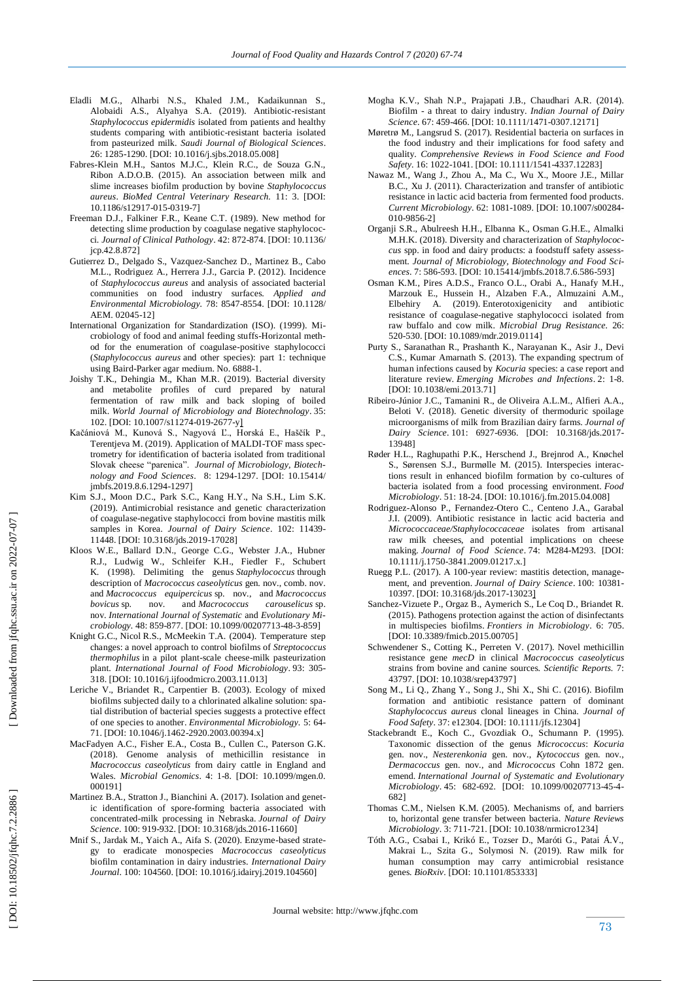- Eladli M.G., Alharbi N.S., Khaled J.M., Kadaikunnan S., Alobaidi A.S., Alyahya S.A. (2019). Antibiotic -resistant *Staphylococcus epidermidis* isolated from patients and healthy students comparing with antibiotic -resistant bacteria isolated from pasteurized milk. *Saudi Journal of Biological Sciences*. 26: 1285 -1290. [DOI: 10.1016/j.sjbs.2018.05.008]
- Fabres -Klein M.H., Santos M.J.C., Klein R.C., de Souza G.N., Ribon A.D.O.B. (2015). An association between milk and slime increases biofilm production by bovine *Staphylococcus aureus*. *BioMed Central Veterinary Research.* 11: 3. [DOI: 10.1186/s12917 -015 -0319 -7]
- Freeman D.J., Falkiner F.R., Keane C.T. (1989). New method for detecting slime production by coagulase negative staphylococci. *Journal of Clinical Pathology*. 42: 872-874. [DOI: 10.1136/ jcp.42.8.872]
- Gutierrez D., Delgado S., Vazquez -Sanchez D., Martinez B., Cabo M.L., Rodriguez A., Herrera J.J., Garcia P. (2012). Incidence of *Staphylococcus aureus* and analysis of associated bacterial communities on food industry surfaces. *Applied and Environmental Microbiology.* 78: 8547 -8554. [DOI: 10.1128/ AEM. 02045 -12]
- International Organization for Standardization (ISO). (1999). Microbiology of food and animal feeding stuffs-Horizontal method for the enumeration of coagulase-positive staphylococci (*Staphylococcus aureus* and other species): part 1: technique using Baird-Parker agar medium. No. 6888-1.
- Joishy T.K., Dehingia M., Khan M.R. (2019). Bacterial diversity and metabolite profiles of curd prepared by natural fermentation of raw milk and back sloping of boiled milk. *World Journal of Microbiology and Biotechnology* . 35: 102. [DOI: 10.1007/s11274-019-2677-y]
- Kačániová M., Kunová S., Nagyová Ľ., Horská E., Haščík P., Terentjeva M. (2019). Application of MALDI -TOF mass spectrometry for identification of bacteria isolated from traditional Slovak cheese "parenica". *Journal of Microbiology, Biotechnology and Food Sciences*. 8: 1294-1297. [DOI: 10.15414/ jmbfs.2019.8.6.1294 -1297]
- Kim S.J., Moon D.C., Park S.C., Kang H.Y., Na S.H., Lim S.K. (2019). Antimicrobial resistance and genetic characterization of coagulase -negative staphylococci from bovine mastitis milk samples in Korea. *Journal of Dairy Science*. 102: 11439 - 11448. [DOI: 10.3168/jds.2019 -17028]
- Kloos W.E., Ballard D.N., George C.G., Webster J.A., Hubner R.J., Ludwig W., Schleifer K.H., Fiedler F., Schubert K. (1998). Delimiting the genus *Staphylococcus* through description of *Macrococcus caseolyticus* gen. nov., comb. nov. and *Macrococcus equipercicus* sp. nov., and *Macrococcus bovicus* sp. nov. and *Macrococcus carouselicus* sp. nov. *International Journal of Systematic* and *Evolutionary Microbiology.* 48: 859-877. [DOI: 10.1099/00207713-48-3-859]
- Knight G.C., Nicol R.S., McMeekin T.A. (2004). Temperature step changes: a novel approach to control biofilms of *Streptococcus thermophilus* in a pilot plant -scale cheese -milk pasteurization plant. *International Journal of Food Microbiology* . 93: 305 - 318. [DOI: 10.1016/j.ijfoodmicro.2003.11.013]
- Leriche V., Briandet R., Carpentier B. (2003). Ecology of mixed biofilms subjected daily to a chlorinated alkaline solution: spatial distribution of bacterial species suggests a protective effect of one species to another. *Environmental Microbiology.* 5: 64 - 71. [DOI: 10.1046/j.1462 -2920.2003.00394.x]
- MacFadyen A.C., Fisher E.A., Costa B., Cullen C., Paterson G.K. (2018). Genome analysis of methicillin resistance in *Macrococcus caseolyticus* from dairy cattle in England and Wales. *Microbial Genomics*. 4: 1 -8. [DOI: 10.1099/mgen.0. 000191]
- Martinez B.A., Stratton J., Bianchini A. (2017). Isolation and genetic identification of spore-forming bacteria associated with concentrated -milk processing in Nebraska. *Journal of Dairy*  Science. 100: 919-932. [DOI: 10.3168/jds.2016-11660]
- Mnif S., Jardak M., Yaich A., Aifa S. (2020). Enzyme -based strategy to eradicate monospecies *Macrococcus caseolyticus* biofilm contamination in dairy industries. *International Dairy Journal* . 100: 104560. [DOI: 10.1016/j.idairyj.2019.104560]
- Mogha K.V., Shah N.P., Prajapati J.B., Chaudhari A.R. (2014). Biofilm - a threat to dairy industry. *Indian Journal of Dairy Science*. 67: 459 -466. [DOI: 10.1111/1471 -0307.12171]
- Møretrø M., Langsrud S. (2017). Residential bacteria on surfaces in the food industry and their implications for food safety and quality. *Comprehensive Reviews in Food Science and Food*  Safety. 16: 1022-1041. [DOI: 10.1111/1541-4337.12283]
- Nawaz M., Wang J., Zhou A., Ma C., Wu X., Moore J.E., Millar B.C., Xu J. (2011). Characterization and transfer of antibiotic resistance in lactic acid bacteria from fermented food products. *Current Microbiology*. 62: 1081 -1089. [DOI: 10.1007/s00284 - 010 -9856 -2]
- Organji S.R., Abulreesh H.H., Elbanna K., Osman G.H.E., Almalki M.H.K. (2018). Diversity and characterization of *Staphylococcus* spp. in food and dairy products: a foodstuff safety assessment. *Journal of Microbiology, Biotechnology and Food Sciences*. 7: 586-593. [DOI: 10.15414/jmbfs.2018.7.6.586-593]
- Osman K.M., Pires A.D.S., Franco O.L., Orabi A., Hanafy M.H., Marzouk E., Hussein H., Alzaben F.A., Almuzaini A.M., Elbehiry A. (2019). Enterotoxigenicity and antibiotic resistance of coagulase -negative staphylococci isolated from raw buffalo and cow milk. *Microbial Drug Resistance.* 26: 520-530. [DOI: 10.1089/mdr.2019.0114]
- Purty S., Saranathan R., Prashanth K., Narayanan K., Asir J., Devi C.S., Kumar Amarnath S. (2013). The expanding spectrum of human infections caused by *Kocuria* species: a case report and literature review. *Emerging Microbes and Infections* . 2: 1 -8. [DOI: 10.1038/emi.2013.71]
- Ribeiro -Júnior J.C., Tamanini R., de Oliveira A.L.M., Alfieri A.A., Beloti V. (2018). Genetic diversity of thermoduric spoilage microorganisms of milk from Brazilian dairy farms. *Journal of*  Dairy Science. 101: 6927-6936. [DOI: 10.3168/jds.2017-13948 ]
- Røder H.L., Raghupathi P.K., Herschend J., Brejnrod A., Knøchel S., Sørensen S.J., Burmølle M. (2015). Interspecies interactions result in enhanced biofilm formation by co-cultures of bacteria isolated from a food processing environment. *Food Microbiology* . 51: 18 -24 . [DOI: 10.1016/j.fm.2015.04.008]
- Rodriguez -Alonso P., Fernandez -Otero C., Centeno J.A., Garabal J.I. (2009). Antibiotic resistance in lactic acid bacteria and *Micrococcaceae/Staphylococcaceae* isolates from artisanal raw milk cheeses, and potential implications on cheese making. Journal of Food Science. 74: M284-M293. [DOI: 10.1111/j.1750 -3841.2009.01217.x. ]
- Ruegg P.L. (2017). A 100 -year review: mastitis detection, management, and prevention. *Journal of Dairy Science*. 100: 10381- 10397. [DOI: 10.3168/jds.2017 -13023 ]
- Sanchez -Vizuete P., Orgaz B., Aymerich S., Le Coq D., Briandet R. (2015). Pathogens protection against the action of disinfectants in multispecies biofilms. *Frontiers in Microbiology*. 6: 705. [DOI: 10.3389/fmicb.2015.00705]
- Schwendener S., Cotting K., Perreten V. (2017). Novel methicillin resistance gene *mecD* in clinical *Macrococcus caseolyticus* strains from bovine and canine sources. *Scientific Reports.* 7: 43797. [DOI: 10.1038/srep43797 ]
- Song M., Li Q., Zhang Y., Song J., Shi X., Shi C. (2016). Biofilm formation and antibiotic resistance pattern of dominant *Staph ylococcus aureus* clonal lineages in China. *Journal of Food Safety*. 37: e12304. [DOI: 10.1111/jfs.12304 ]
- Stackebrandt E., Koch C., Gvozdiak O., Schumann P. (1995). Taxonomic dissection of the genus *Micrococcus*: *Kocuria* gen. nov., *Nesterenkonia* gen. nov., *Kytococcus* gen. nov., *Dermacoccus* gen. nov., and *Micrococcus* Cohn 1872 gen. emend. *International Journal of Systematic and Evolutionary*  Microbiology. 45: 682-692. [DOI: 10.1099/00207713-45-4-682]
- Thomas C.M., Nielsen K.M. (2005). Mechanisms of, and barriers to, horizontal gene transfer between bacteria. *Nature Reviews Microbiology*. 3: 711 -721. [DOI: 10.1038/nrmicro1234]
- Tóth A.G., Csabai I., Krikó E., Tozser D., Maróti G., Patai Á.V., Makrai L., Szita G., Solymosi N. (2019). Raw milk for human consumption may carry antimicrobial resistance genes. *BioRxiv* . [DOI: 10.1101/853333]